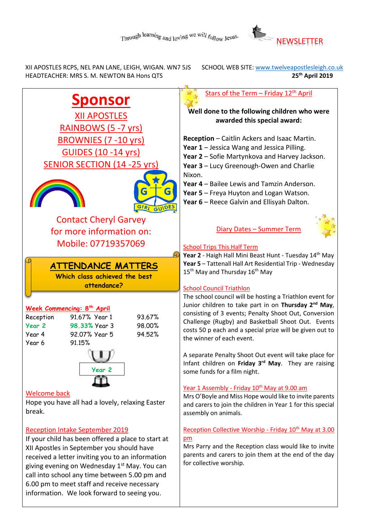

 XII APOSTLES RCPS, NEL PAN LANE, LEIGH, WIGAN. WN7 5JS SCHOOL WEB SITE[: www.twelveapostlesleigh.co.uk](http://www.twelveapostlesleigh.co.uk/)  HEADTEACHER: MRS S. M. NEWTON BA Hons QTS **25th April 2019** 

**Sponsor** XII APOSTLES RAINBOWS (5 -7 yrs) BROWNIES (7 -10 yrs) GUIDES (10 -14 yrs) SENIOR SECTION (14 -25 yrs) Contact Cheryl Garvey for more information on: Mobile: 07719357069 **Week Commencing: 8 th April** Reception 91.67% Year 1 93.67% **Year 2 98.33%** Year 3 98.00% Year 4 92.07% Year 5 94.52% Year 6 91.15% Welcome back Hope you have all had a lovely, relaxing Easter break. Reception Intake September 2019 If your child has been offered a place to start at XII Apostles in September you should have received a letter inviting you to an information giving evening on Wednesday 1<sup>st</sup> May. You can Stars of the Term – Friday 12<sup>th</sup> April **Well done to the following children who were awarded this special award: Reception** – Caitlin Ackers and Isaac Martin. **Year 1** – Jessica Wang and Jessica Pilling. **Year 2** – Sofie Martynkova and Harvey Jackson. **Year 3** – Lucy Greenough-Owen and Charlie Nixon. **Year 4** – Bailee Lewis and Tamzin Anderson. **Year 5** – Freya Huyton and Logan Watson. **Year 6** – Reece Galvin and Ellisyah Dalton. Diary Dates – Summer Term School Trips This Half Term Year 2 - Haigh Hall Mini Beast Hunt - Tuesday 14<sup>th</sup> May **Year 5** – Tattenall Hall Art Residential Trip - Wednesday 15<sup>th</sup> May and Thursday 16<sup>th</sup> May School Council Triathlon The school council will be hosting a Triathlon event for Junior children to take part in on **Thursday 2nd May**, consisting of 3 events; Penalty Shoot Out, Conversion Challenge (Rugby) and Basketball Shoot Out. Events costs 50 p each and a special prize will be given out to the winner of each event. A separate Penalty Shoot Out event will take place for Infant children on **Friday 3rd May**. They are raising some funds for a film night. Year 1 Assembly - Friday 10<sup>th</sup> May at 9.00 am Mrs O'Boyle and Miss Hope would like to invite parents and carers to join the children in Year 1 for this special assembly on animals. Reception Collective Worship - Friday 10<sup>th</sup> May at 3.00 pm Mrs Parry and the Reception class would like to invite parents and carers to join them at the end of the day for collective worship. **Year 2 ATTENDANCE MATTERS Which class achieved the best attendance?**

call into school any time between 5.00 pm and 6.00 pm to meet staff and receive necessary information. We look forward to seeing you.